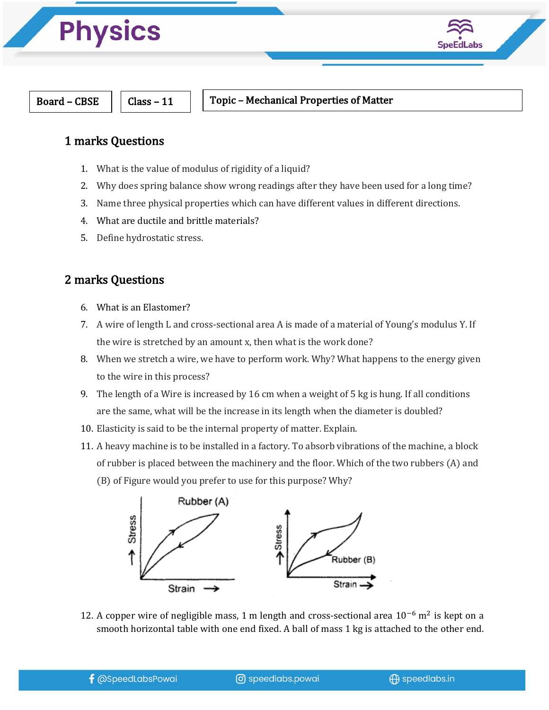



#### Board – CBSE  $\parallel$   $\parallel$  Class – 11  $\parallel$  Topic – Mechanical Properties of Matter

### 1 marks Questions

- 1. What is the value of modulus of rigidity of a liquid?
- 2. Why does spring balance show wrong readings after they have been used for a long time?
- 3. Name three physical properties which can have different values in different directions.
- 4. What are ductile and brittle materials?
- 5. Define hydrostatic stress.

### 2 marks Questions

- 6. What is an Elastomer?
- 7. A wire of length L and cross-sectional area A is made of a material of Young's modulus Y. If the wire is stretched by an amount x, then what is the work done?
- 8. When we stretch a wire, we have to perform work. Why? What happens to the energy given to the wire in this process?
- 9. The length of a Wire is increased by 16 cm when a weight of 5 kg is hung. If all conditions are the same, what will be the increase in its length when the diameter is doubled?
- 10. Elasticity is said to be the internal property of matter. Explain.
- 11. A heavy machine is to be installed in a factory. To absorb vibrations of the machine, a block of rubber is placed between the machinery and the floor. Which of the two rubbers (A) and
	- (B) of Figure would you prefer to use for this purpose? Why?



12. A copper wire of negligible mass, 1 m length and cross-sectional area  $10^{-6}$  m<sup>2</sup> is kept on a smooth horizontal table with one end fixed. A ball of mass 1 kg is attached to the other end.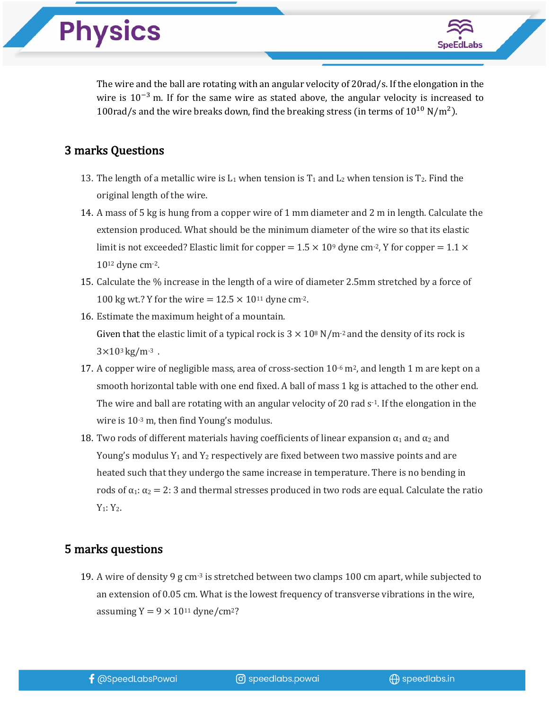The wire and the ball are rotating with an angular velocity of 20rad/s. If the elongation in the wire is  $10^{-3}$  m. If for the same wire as stated above, the angular velocity is increased to 100rad/s and the wire breaks down, find the breaking stress (in terms of  $10^{10}$  N/m<sup>2</sup>).

#### 3 marks Questions

**Physics** 

- 13. The length of a metallic wire is  $L_1$  when tension is  $T_1$  and  $L_2$  when tension is  $T_2$ . Find the original length of the wire.
- 14. A mass of 5 kg is hung from a copper wire of 1 mm diameter and 2 m in length. Calculate the extension produced. What should be the minimum diameter of the wire so that its elastic limit is not exceeded? Elastic limit for copper =  $1.5 \times 10^9$  dyne cm<sup>-2</sup>, Y for copper =  $1.1 \times$  $10^{12}$  dyne cm $-2$ .
- 15. Calculate the % increase in the length of a wire of diameter 2.5mm stretched by a force of 100 kg wt.? Y for the wire =  $12.5 \times 10^{11}$  dyne cm<sup>-2</sup>.
- 16. Estimate the maximum height of a mountain. Given that the elastic limit of a typical rock is  $3 \times 10^8$  N/m<sup>-2</sup> and the density of its rock is  $3 \times 10^{3}$  kg/m<sup>-3</sup>.
- 17. A copper wire of negligible mass, area of cross-section  $10^{-6}$  m<sup>2</sup>, and length 1 m are kept on a smooth horizontal table with one end fixed. A ball of mass 1 kg is attached to the other end. The wire and ball are rotating with an angular velocity of 20 rad  $s<sup>-1</sup>$ . If the elongation in the wire is  $10^{-3}$  m, then find Young's modulus.
- 18. Two rods of different materials having coefficients of linear expansion  $\alpha_1$  and  $\alpha_2$  and Young's modulus  $Y_1$  and  $Y_2$  respectively are fixed between two massive points and are heated such that they undergo the same increase in temperature. There is no bending in rods of  $\alpha_1$ :  $\alpha_2 = 2$ : 3 and thermal stresses produced in two rods are equal. Calculate the ratio  $Y_1: Y_2.$

#### 5 marks questions

19. A wire of density 9 g cm<sup>-3</sup> is stretched between two clamps 100 cm apart, while subjected to an extension of 0.05 cm. What is the lowest frequency of transverse vibrations in the wire, assuming  $Y = 9 \times 10^{11}$  dyne/cm<sup>2</sup>?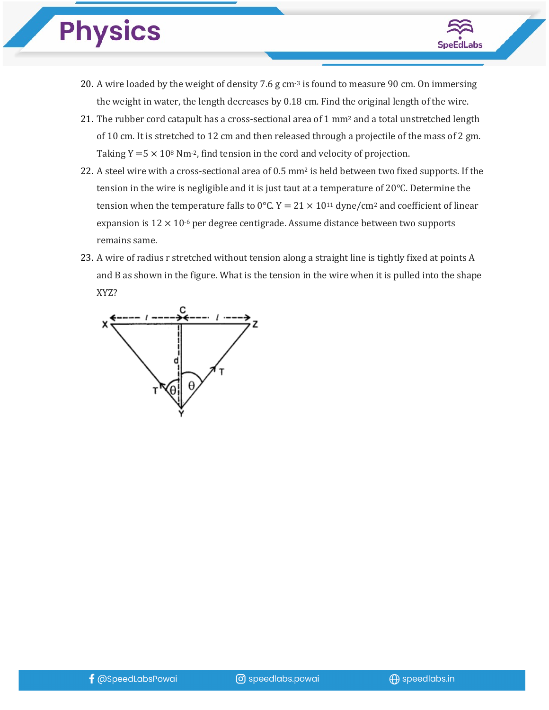# **Physics**



- 20. A wire loaded by the weight of density  $7.6$  g cm $3$  is found to measure 90 cm. On immersing the weight in water, the length decreases by  $0.18 \text{ cm}$ . Find the original length of the wire.
- 21. The rubber cord catapult has a cross-sectional area of 1  $mm<sup>2</sup>$  and a total unstretched length of 10 cm. It is stretched to 12 cm and then released through a projectile of the mass of 2 gm. Taking  $Y = 5 \times 10^8$  Nm<sup>-2</sup>, find tension in the cord and velocity of projection.
- 22. A steel wire with a cross-sectional area of 0.5 mm<sup>2</sup> is held between two fixed supports. If the tension in the wire is negligible and it is just taut at a temperature of 20°C. Determine the tension when the temperature falls to 0°C.  $Y = 21 \times 10^{11}$  dyne/cm<sup>2</sup> and coefficient of linear expansion is  $12 \times 10^{-6}$  per degree centigrade. Assume distance between two supports remains same.
- 23. A wire of radius r stretched without tension along a straight line is tightly fixed at points A and  $B$  as shown in the figure. What is the tension in the wire when it is pulled into the shape XYZ?

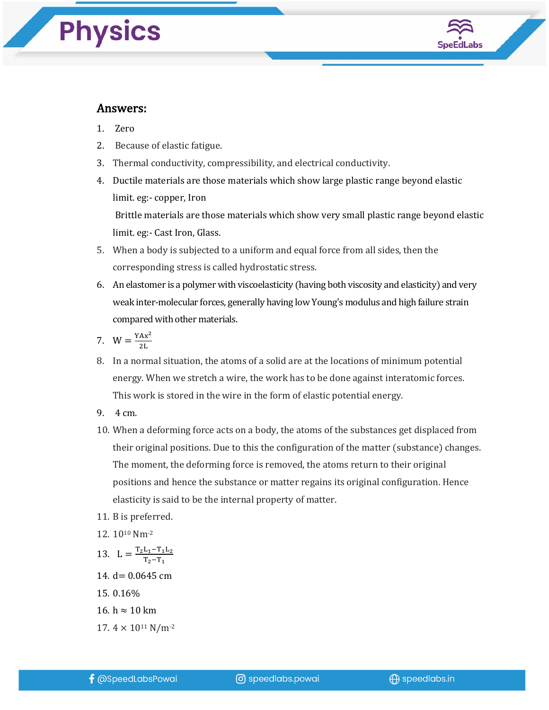## **Physics**



#### Answers:

- 1. Zero
- 2. Because of elastic fatigue.
- 3. Thermal conductivity, compressibility, and electrical conductivity.
- 4. Ductile materials are those materials which show large plastic range beyond elastic limit. eg: - copper, Iron Brittle materials are those materials which show very small plastic range beyond elastic limit. eg:- Cast Iron, Glass.
- 5. When a body is subjected to a uniform and equal force from all sides, then the corresponding stress is called hydrostatic stress.
- 6. An elastomer is a polymer with viscoelasticity (having both viscosity and elasticity) and very weak inter-molecular forces, generally having low Young's modulus and high failure strain compared with other materials.
- 7.  $W = \frac{YAx^2}{2L}$
- 8. In a normal situation, the atoms of a solid are at the locations of minimum potential energy. When we stretch a wire, the work has to be done against interatomic forces. This work is stored in the wire in the form of elastic potential energy.
- 9. 4 cm.
- 10. When a deforming force acts on a body, the atoms of the substances get displaced from their original positions. Due to this the configuration of the matter (substance) changes. The moment, the deforming force is removed, the atoms return to their original positions and hence the substance or matter regains its original configuration. Hence elasticity is said to be the internal property of matter.
- 11. B is preferred.
- 12. 1010 Nm-2
- 13.  $L = \frac{T_2 L_1 T_1 L_2}{T_2 T_1}$
- 14.  $d = 0.0645$  cm
- 15. 0.16%
- 16. h  $\approx$  10 km
- 17.  $4 \times 10^{11}$  N/m<sup>-2</sup>